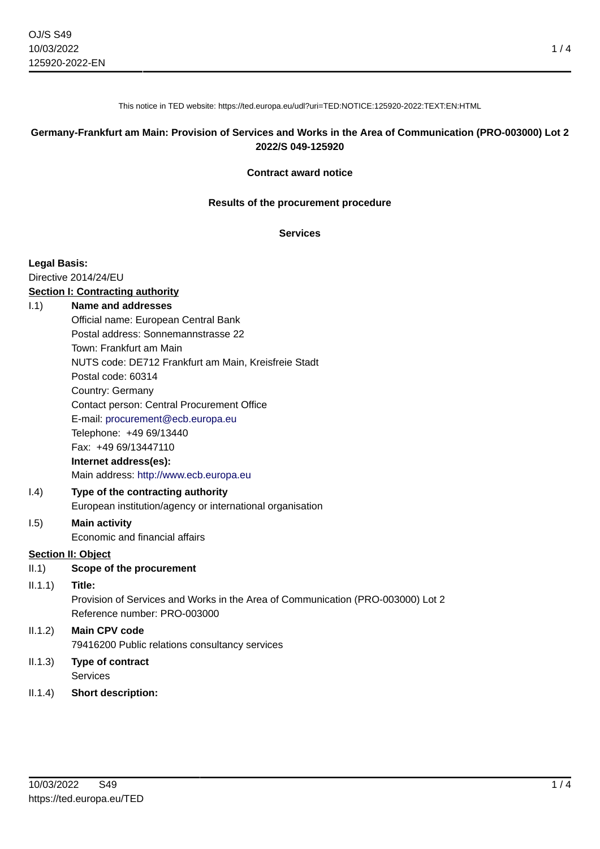This notice in TED website: https://ted.europa.eu/udl?uri=TED:NOTICE:125920-2022:TEXT:EN:HTML

### **Germany-Frankfurt am Main: Provision of Services and Works in the Area of Communication (PRO-003000) Lot 2 2022/S 049-125920**

#### **Contract award notice**

#### **Results of the procurement procedure**

### **Services**

#### **Legal Basis:**

Directive 2014/24/EU

### **Section I: Contracting authority**

### I.1) **Name and addresses**

Official name: European Central Bank Postal address: Sonnemannstrasse 22 Town: Frankfurt am Main NUTS code: DE712 Frankfurt am Main, Kreisfreie Stadt Postal code: 60314 Country: Germany Contact person: Central Procurement Office E-mail: [procurement@ecb.europa.eu](mailto:procurement@ecb.europa.eu) Telephone: +49 69/13440 Fax: +49 69/13447110 **Internet address(es):** Main address:<http://www.ecb.europa.eu> I.4) **Type of the contracting authority**

European institution/agency or international organisation

# I.5) **Main activity**

Economic and financial affairs

## **Section II: Object**

- II.1) **Scope of the procurement**
- II.1.1) **Title:**

Provision of Services and Works in the Area of Communication (PRO-003000) Lot 2 Reference number: PRO-003000

# II.1.2) **Main CPV code** 79416200 Public relations consultancy services

- II.1.3) **Type of contract Services**
- II.1.4) **Short description:**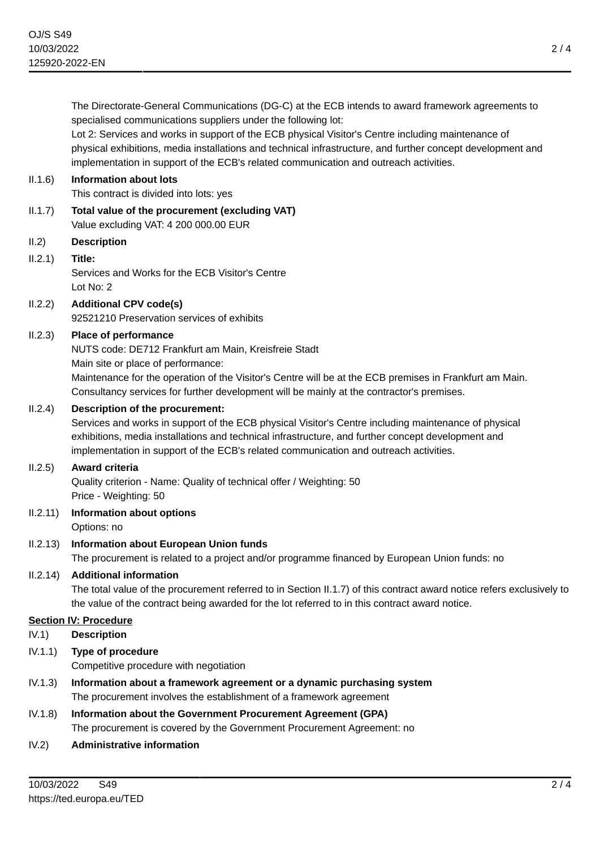The Directorate-General Communications (DG-C) at the ECB intends to award framework agreements to specialised communications suppliers under the following lot: Lot 2: Services and works in support of the ECB physical Visitor's Centre including maintenance of physical exhibitions, media installations and technical infrastructure, and further concept development and implementation in support of the ECB's related communication and outreach activities. II.1.6) **Information about lots** This contract is divided into lots: yes II.1.7) **Total value of the procurement (excluding VAT)** Value excluding VAT: 4 200 000.00 EUR II.2) **Description** II.2.1) **Title:** Services and Works for the ECB Visitor's Centre Lot No: 2 II.2.2) **Additional CPV code(s)** 92521210 Preservation services of exhibits II.2.3) **Place of performance** NUTS code: DE712 Frankfurt am Main, Kreisfreie Stadt Main site or place of performance: Maintenance for the operation of the Visitor's Centre will be at the ECB premises in Frankfurt am Main. Consultancy services for further development will be mainly at the contractor's premises. II.2.4) **Description of the procurement:** Services and works in support of the ECB physical Visitor's Centre including maintenance of physical exhibitions, media installations and technical infrastructure, and further concept development and implementation in support of the ECB's related communication and outreach activities. II.2.5) **Award criteria** Quality criterion - Name: Quality of technical offer / Weighting: 50 Price - Weighting: 50 II.2.11) **Information about options** Options: no II.2.13) **Information about European Union funds** The procurement is related to a project and/or programme financed by European Union funds: no II.2.14) **Additional information** The total value of the procurement referred to in Section II.1.7) of this contract award notice refers exclusively to the value of the contract being awarded for the lot referred to in this contract award notice. **Section IV: Procedure** IV.1) **Description** IV.1.1) **Type of procedure** Competitive procedure with negotiation IV.1.3) **Information about a framework agreement or a dynamic purchasing system** The procurement involves the establishment of a framework agreement IV.1.8) **Information about the Government Procurement Agreement (GPA)** The procurement is covered by the Government Procurement Agreement: no IV.2) **Administrative information**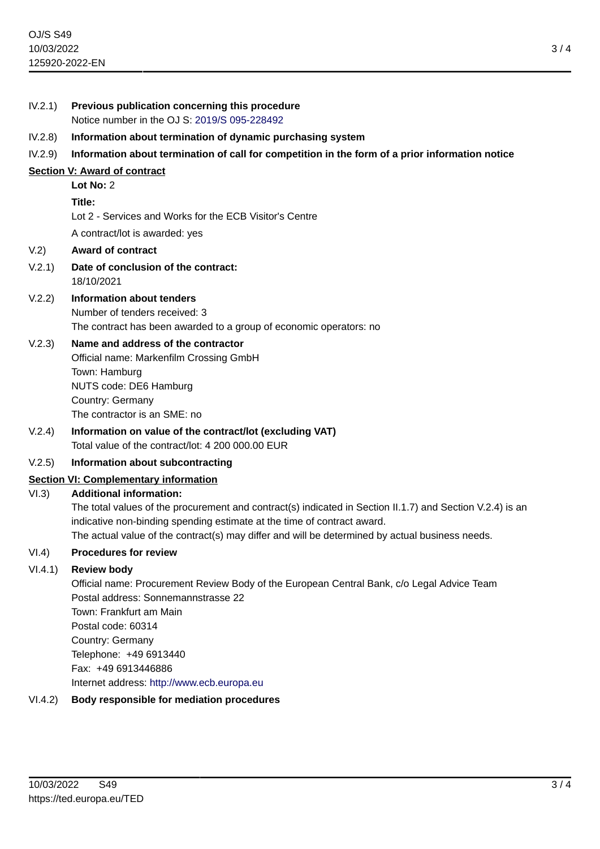| IV.2.1)                                      | Previous publication concerning this procedure<br>Notice number in the OJ S: 2019/S 095-228492                                                                                                                                                                                                                              |
|----------------------------------------------|-----------------------------------------------------------------------------------------------------------------------------------------------------------------------------------------------------------------------------------------------------------------------------------------------------------------------------|
| IV.2.8)                                      | Information about termination of dynamic purchasing system                                                                                                                                                                                                                                                                  |
| IV.2.9)                                      | Information about termination of call for competition in the form of a prior information notice                                                                                                                                                                                                                             |
| Section V: Award of contract                 |                                                                                                                                                                                                                                                                                                                             |
|                                              | Lot No: 2                                                                                                                                                                                                                                                                                                                   |
|                                              | Title:                                                                                                                                                                                                                                                                                                                      |
|                                              | Lot 2 - Services and Works for the ECB Visitor's Centre                                                                                                                                                                                                                                                                     |
|                                              | A contract/lot is awarded: yes                                                                                                                                                                                                                                                                                              |
| V.2)                                         | <b>Award of contract</b>                                                                                                                                                                                                                                                                                                    |
| V.2.1)                                       | Date of conclusion of the contract:<br>18/10/2021                                                                                                                                                                                                                                                                           |
| V.2.2)                                       | <b>Information about tenders</b>                                                                                                                                                                                                                                                                                            |
|                                              | Number of tenders received: 3                                                                                                                                                                                                                                                                                               |
|                                              | The contract has been awarded to a group of economic operators: no                                                                                                                                                                                                                                                          |
| V.2.3)                                       | Name and address of the contractor<br>Official name: Markenfilm Crossing GmbH<br>Town: Hamburg<br>NUTS code: DE6 Hamburg<br>Country: Germany<br>The contractor is an SME: no                                                                                                                                                |
| V.2.4)                                       | Information on value of the contract/lot (excluding VAT)                                                                                                                                                                                                                                                                    |
|                                              | Total value of the contract/lot: 4 200 000.00 EUR                                                                                                                                                                                                                                                                           |
| V.2.5)                                       | Information about subcontracting                                                                                                                                                                                                                                                                                            |
| <b>Section VI: Complementary information</b> |                                                                                                                                                                                                                                                                                                                             |
| VI.3)                                        | <b>Additional information:</b>                                                                                                                                                                                                                                                                                              |
|                                              | The total values of the procurement and contract(s) indicated in Section II.1.7) and Section V.2.4) is an<br>indicative non-binding spending estimate at the time of contract award.<br>The actual value of the contract(s) may differ and will be determined by actual business needs.                                     |
| VI.4)                                        | <b>Procedures for review</b>                                                                                                                                                                                                                                                                                                |
| VI.4.1)                                      | <b>Review body</b><br>Official name: Procurement Review Body of the European Central Bank, c/o Legal Advice Team<br>Postal address: Sonnemannstrasse 22<br>Town: Frankfurt am Main<br>Postal code: 60314<br>Country: Germany<br>Telephone: +49 6913440<br>Fax: +49 6913446886<br>Internet address: http://www.ecb.europa.eu |
| VI.4.2)                                      | Body responsible for mediation procedures                                                                                                                                                                                                                                                                                   |
|                                              |                                                                                                                                                                                                                                                                                                                             |

3 / 4